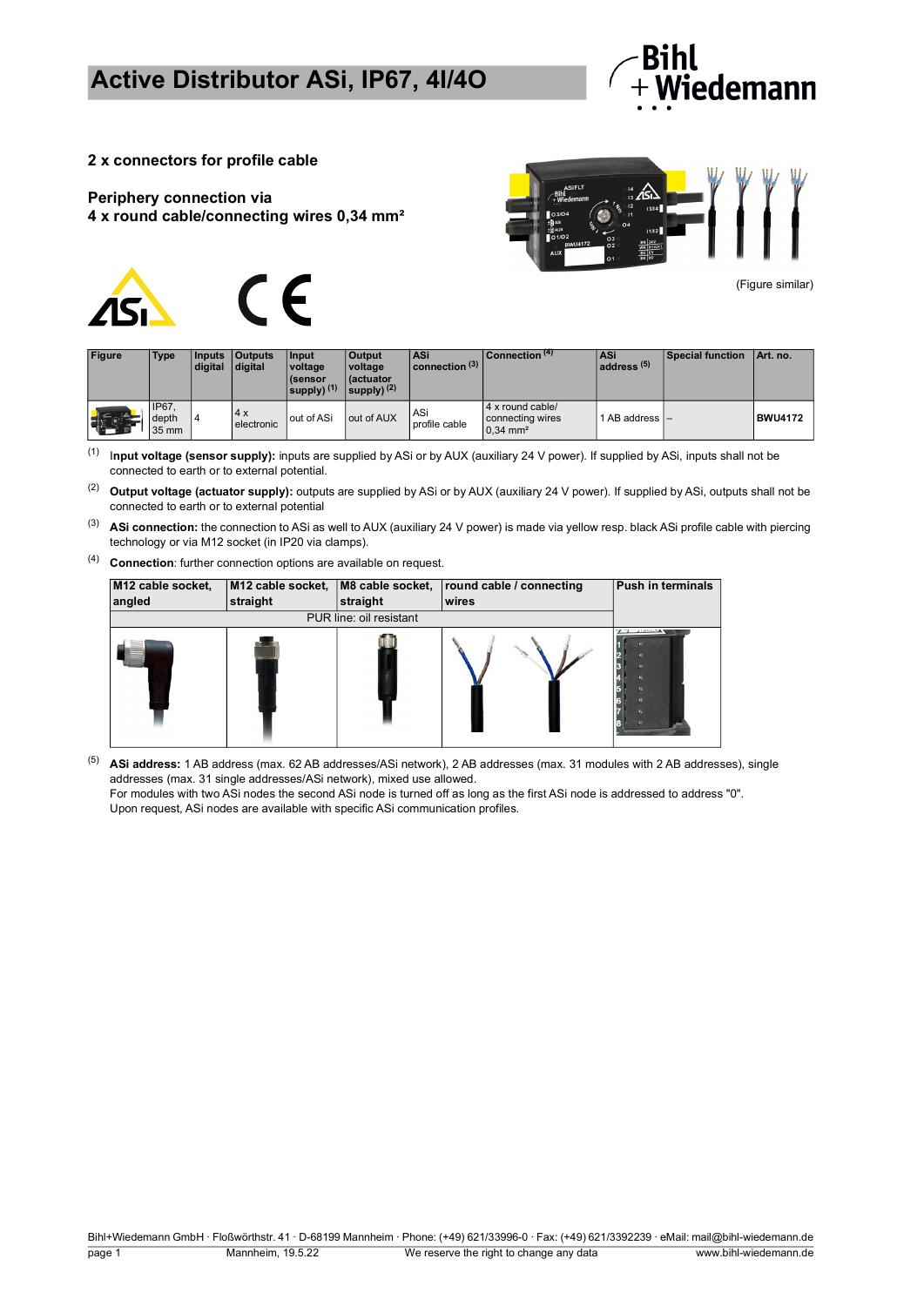

**2 x connectors for profile cable**

#### **Periphery connection via 4 x round cable/connecting wires 0,34 mm²**





(Figure similar)

| <b>Figure</b> | Type                           | <b>Inputs</b><br>digital | <b>Outputs</b><br>digital | Input<br>voltage<br><i>(sensor</i><br>supply) $(1)$ | <b>Output</b><br>voltage<br>l (actuator<br>supply) $(2)$ | ASi<br>connection $(3)$ | Connection (4)                                                 | <b>ASi</b><br>address <sup>(5)</sup> | <b>Special function</b> | Art. no.       |
|---------------|--------------------------------|--------------------------|---------------------------|-----------------------------------------------------|----------------------------------------------------------|-------------------------|----------------------------------------------------------------|--------------------------------------|-------------------------|----------------|
|               | <b>IP67.</b><br>depth<br>35 mm |                          | 4x<br>electronic          | out of ASi                                          | out of AUX                                               | ASi<br>profile cable    | 4 x round cable/<br>connecting wires<br>$0.34$ mm <sup>2</sup> | 1 AB address I-                      |                         | <b>BWU4172</b> |

(1) I**nput voltage (sensor supply):** inputs are supplied by ASi or by AUX (auxiliary 24 V power). If supplied by ASi, inputs shall not be connected to earth or to external potential.

(2) **Output voltage (actuator supply):** outputs are supplied by ASi or by AUX (auxiliary 24 V power). If supplied by ASi, outputs shall not be connected to earth or to external potential

- (3) **ASi connection:** the connection to ASi as well to AUX (auxiliary 24 V power) is made via yellow resp. black ASi profile cable with piercing technology or via M12 socket (in IP20 via clamps).
- (4) **Connection**: further connection options are available on request.

| M12 cable socket,<br>angled | straight | straight                | M12 cable socket,   M8 cable socket,   round cable / connecting<br>wires | <b>Push in terminals</b>                            |
|-----------------------------|----------|-------------------------|--------------------------------------------------------------------------|-----------------------------------------------------|
|                             |          | PUR line: oil resistant |                                                                          |                                                     |
|                             |          |                         |                                                                          | $\mathcal{L}$ $\mathcal{L}$ $\mathcal{L}$ interacts |

(5) **ASi address:** 1 AB address (max. 62 AB addresses/ASi network), 2 AB addresses (max. 31 modules with 2 AB addresses), single addresses (max. 31 single addresses/ASi network), mixed use allowed.

For modules with two ASi nodes the second ASi node is turned off as long as the first ASi node is addressed to address "0". Upon request, ASi nodes are available with specific ASi communication profiles.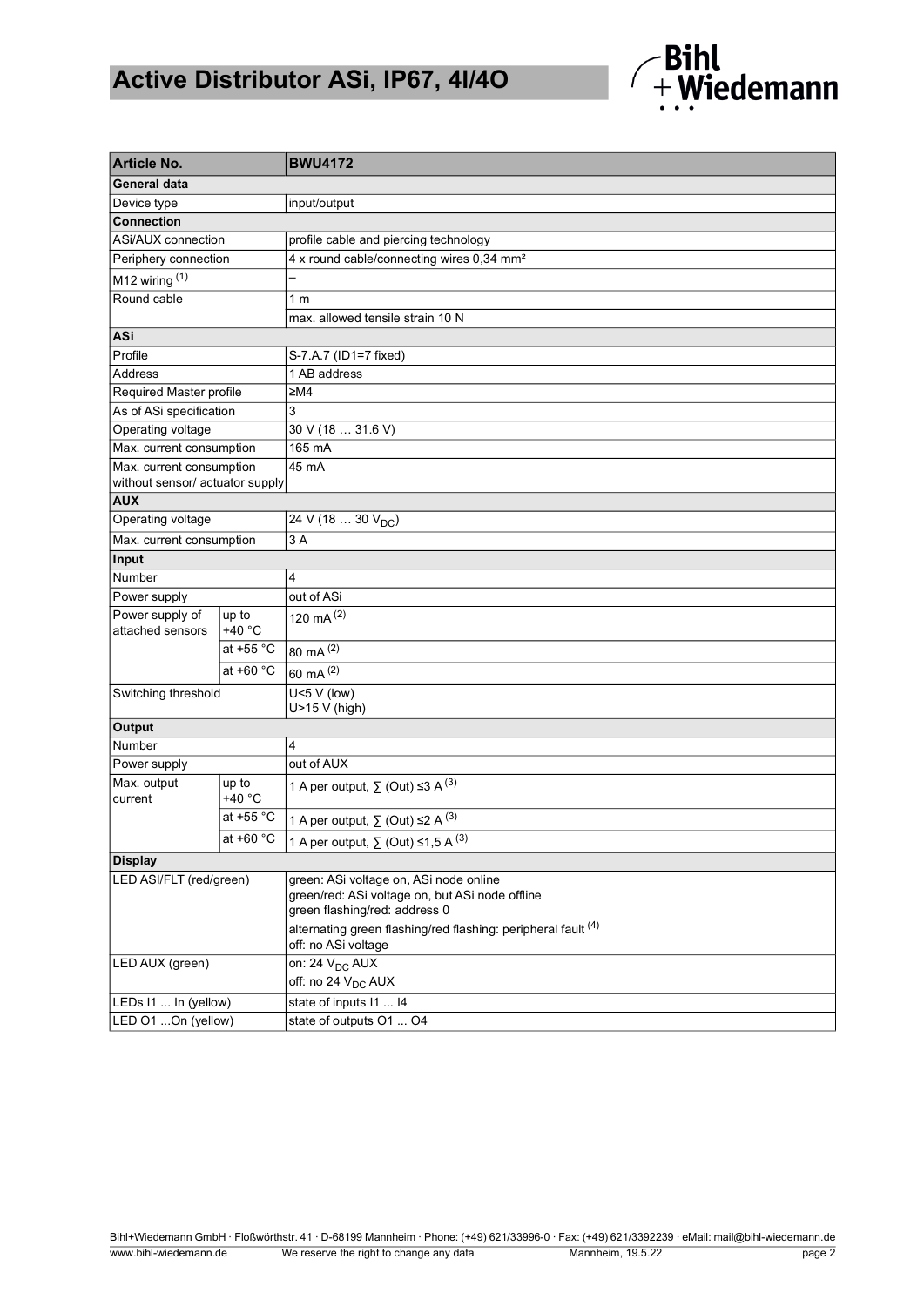# **Active Distributor ASi, IP67, 4I/4O**



| <b>Article No.</b>                  |                   | <b>BWU4172</b>                                                           |  |  |  |  |  |  |  |
|-------------------------------------|-------------------|--------------------------------------------------------------------------|--|--|--|--|--|--|--|
| <b>General data</b>                 |                   |                                                                          |  |  |  |  |  |  |  |
| Device type                         |                   | input/output                                                             |  |  |  |  |  |  |  |
| <b>Connection</b>                   |                   |                                                                          |  |  |  |  |  |  |  |
| ASi/AUX connection                  |                   | profile cable and piercing technology                                    |  |  |  |  |  |  |  |
| Periphery connection                |                   | 4 x round cable/connecting wires 0,34 mm <sup>2</sup>                    |  |  |  |  |  |  |  |
| M12 wiring $(1)$                    |                   |                                                                          |  |  |  |  |  |  |  |
| Round cable                         |                   | 1 <sub>m</sub>                                                           |  |  |  |  |  |  |  |
|                                     |                   | max. allowed tensile strain 10 N                                         |  |  |  |  |  |  |  |
| ASi                                 |                   |                                                                          |  |  |  |  |  |  |  |
| Profile                             |                   | S-7.A.7 (ID1=7 fixed)                                                    |  |  |  |  |  |  |  |
| <b>Address</b>                      |                   | 1 AB address                                                             |  |  |  |  |  |  |  |
| Required Master profile             |                   | ≥MA                                                                      |  |  |  |  |  |  |  |
| As of ASi specification             |                   | 3                                                                        |  |  |  |  |  |  |  |
| Operating voltage                   |                   | 30 V (18  31.6 V)                                                        |  |  |  |  |  |  |  |
| Max. current consumption            |                   | 165 mA                                                                   |  |  |  |  |  |  |  |
| Max. current consumption            |                   | 45 mA                                                                    |  |  |  |  |  |  |  |
| without sensor/ actuator supply     |                   |                                                                          |  |  |  |  |  |  |  |
| <b>AUX</b>                          |                   |                                                                          |  |  |  |  |  |  |  |
| Operating voltage                   |                   | $\overline{24 \text{ V}}$ (18  30 $\text{V}_{\text{DC}}$ )               |  |  |  |  |  |  |  |
| Max. current consumption            |                   | 3A                                                                       |  |  |  |  |  |  |  |
| Input                               |                   |                                                                          |  |  |  |  |  |  |  |
| Number                              |                   | 4                                                                        |  |  |  |  |  |  |  |
| Power supply                        |                   | out of ASi                                                               |  |  |  |  |  |  |  |
| Power supply of<br>attached sensors | up to<br>$+40 °C$ | 120 mA $(2)$                                                             |  |  |  |  |  |  |  |
|                                     | at +55 °C         | 80 mA (2)                                                                |  |  |  |  |  |  |  |
|                                     | at +60 °C         | 60 mA (2)                                                                |  |  |  |  |  |  |  |
| Switching threshold                 |                   | $U<5$ V (low)                                                            |  |  |  |  |  |  |  |
|                                     |                   | $U>15 V$ (high)                                                          |  |  |  |  |  |  |  |
| Output                              |                   |                                                                          |  |  |  |  |  |  |  |
| Number                              |                   | 4                                                                        |  |  |  |  |  |  |  |
| Power supply                        |                   | out of AUX                                                               |  |  |  |  |  |  |  |
| Max. output<br>current              | up to<br>+40 °C   | 1 A per output, $\sum$ (Out) $\leq$ 3 A <sup>(3)</sup>                   |  |  |  |  |  |  |  |
|                                     | at +55 °C         | 1 A per output, $\sum$ (Out) $\leq$ A <sup>(3)</sup>                     |  |  |  |  |  |  |  |
| at $+60 °C$                         |                   | 1 A per output, $\sum$ (Out) ≤1,5 A <sup>(3)</sup>                       |  |  |  |  |  |  |  |
| <b>Display</b>                      |                   |                                                                          |  |  |  |  |  |  |  |
| LED ASI/FLT (red/green)             |                   | green: ASi voltage on, ASi node online                                   |  |  |  |  |  |  |  |
|                                     |                   | green/red: ASi voltage on, but ASi node offline                          |  |  |  |  |  |  |  |
|                                     |                   | green flashing/red: address 0                                            |  |  |  |  |  |  |  |
|                                     |                   | alternating green flashing/red flashing: peripheral fault <sup>(4)</sup> |  |  |  |  |  |  |  |
|                                     |                   | off: no ASi voltage                                                      |  |  |  |  |  |  |  |
| LED AUX (green)                     |                   | on: 24 V <sub>DC</sub> AUX                                               |  |  |  |  |  |  |  |
|                                     |                   | off: no 24 V <sub>DC</sub> AUX                                           |  |  |  |  |  |  |  |
| LEDs I1  In (yellow)                |                   | state of inputs 11  14                                                   |  |  |  |  |  |  |  |
| LED 01 On (yellow)                  |                   | state of outputs O1  O4                                                  |  |  |  |  |  |  |  |

Bihl+Wiedemann GmbH · Floßwörthstr. 41 · D-68199 Mannheim · Phone: (+49) 621/33996-0 · Fax: (+49) 621/3392239 · eMail: mail@bihl-wiedemann.de www.bihl-wiedemann.de We reserve the right to change any data Mannheim, 19.5.22 page 2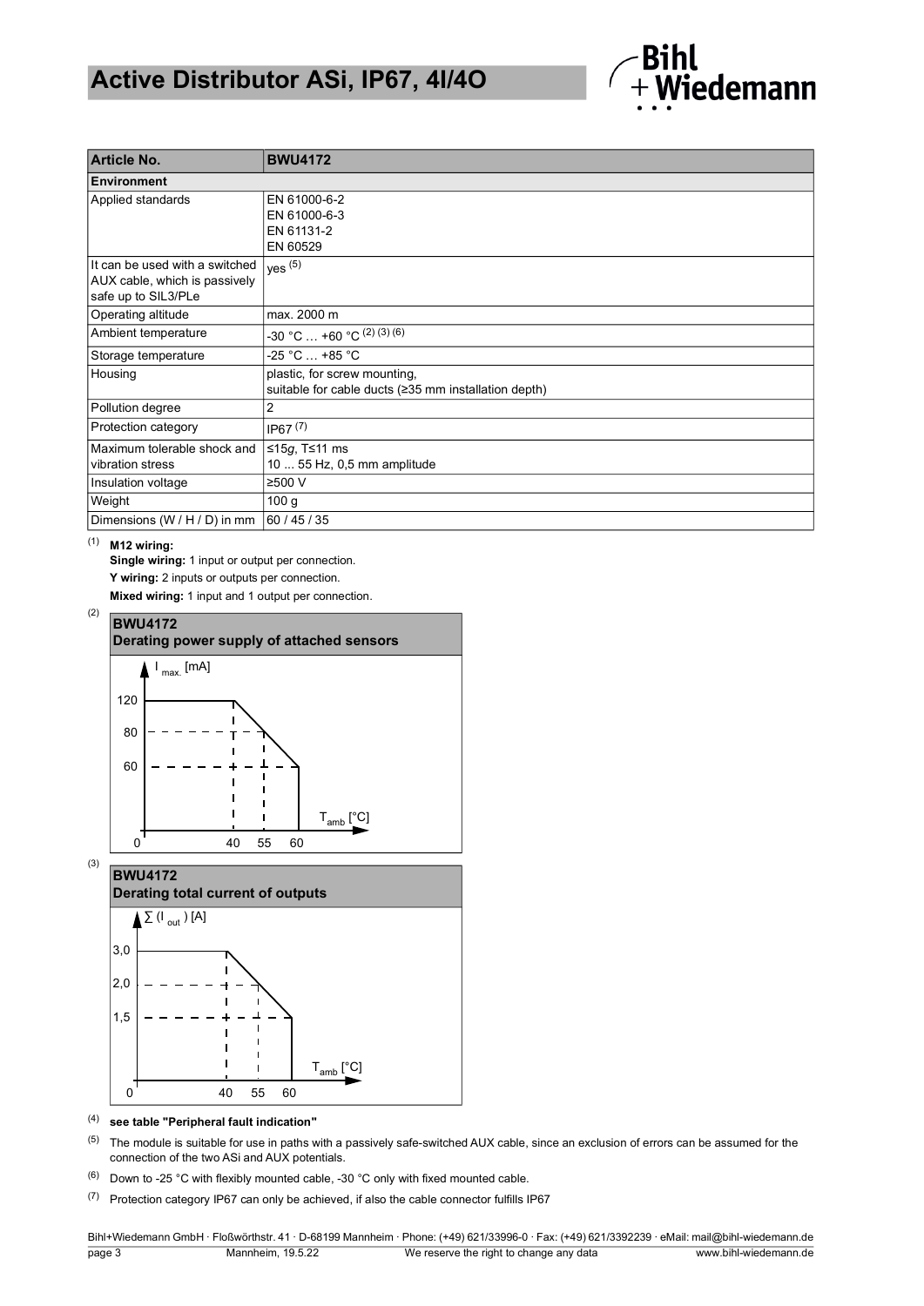### **Active Distributor ASi, IP67, 4I/4O**



| <b>Article No.</b>                                                                     | <b>BWU4172</b>                                                                       |  |  |  |  |  |  |
|----------------------------------------------------------------------------------------|--------------------------------------------------------------------------------------|--|--|--|--|--|--|
| <b>Environment</b>                                                                     |                                                                                      |  |  |  |  |  |  |
| Applied standards                                                                      | EN 61000-6-2<br>EN 61000-6-3<br>EN 61131-2<br>EN 60529                               |  |  |  |  |  |  |
| It can be used with a switched<br>AUX cable, which is passively<br>safe up to SIL3/PLe | yes $(5)$                                                                            |  |  |  |  |  |  |
| Operating altitude                                                                     | max. 2000 m                                                                          |  |  |  |  |  |  |
| Ambient temperature                                                                    | -30 °C  +60 °C $^{(2) (3) (6)}$                                                      |  |  |  |  |  |  |
| Storage temperature                                                                    | -25 °C … +85 °C                                                                      |  |  |  |  |  |  |
| Housing                                                                                | plastic, for screw mounting,<br>suitable for cable ducts (≥35 mm installation depth) |  |  |  |  |  |  |
| Pollution degree                                                                       | 2                                                                                    |  |  |  |  |  |  |
| Protection category                                                                    | IP67 <sup>(7)</sup>                                                                  |  |  |  |  |  |  |
| Maximum tolerable shock and<br>vibration stress                                        | ≤15g, T≤11 ms<br>10  55 Hz, 0,5 mm amplitude                                         |  |  |  |  |  |  |
| Insulation voltage                                                                     | ≥500 V                                                                               |  |  |  |  |  |  |
| Weight                                                                                 | 100 <sub>g</sub>                                                                     |  |  |  |  |  |  |
| Dimensions (W / H / D) in mm                                                           | 60 / 45 / 35                                                                         |  |  |  |  |  |  |

#### (1) **M12 wiring:**

**Single wiring:** 1 input or output per connection. **Y wiring:** 2 inputs or outputs per connection. **Mixed wiring:** 1 input and 1 output per connection.

<span id="page-2-0"></span>

<span id="page-2-1"></span>

(4) **see table "Peripheral fault indication"**

 $(5)$  The module is suitable for use in paths with a passively safe-switched AUX cable, since an exclusion of errors can be assumed for the connection of the two ASi and AUX potentials.

 $(6)$  Down to -25 °C with flexibly mounted cable, -30 °C only with fixed mounted cable.

(7) Protection category IP67 can only be achieved, if also the cable connector fulfills IP67

Bihl+Wiedemann GmbH · Floßwörthstr. 41 · D-68199 Mannheim · Phone: (+49) 621/33996-0 · Fax: (+49) 621/3392239 · eMail: mail@bihl-wiedemann.de page 3 Mannheim, 19.5.22 We reserve the right to change any data www.bihl-wiedemann.de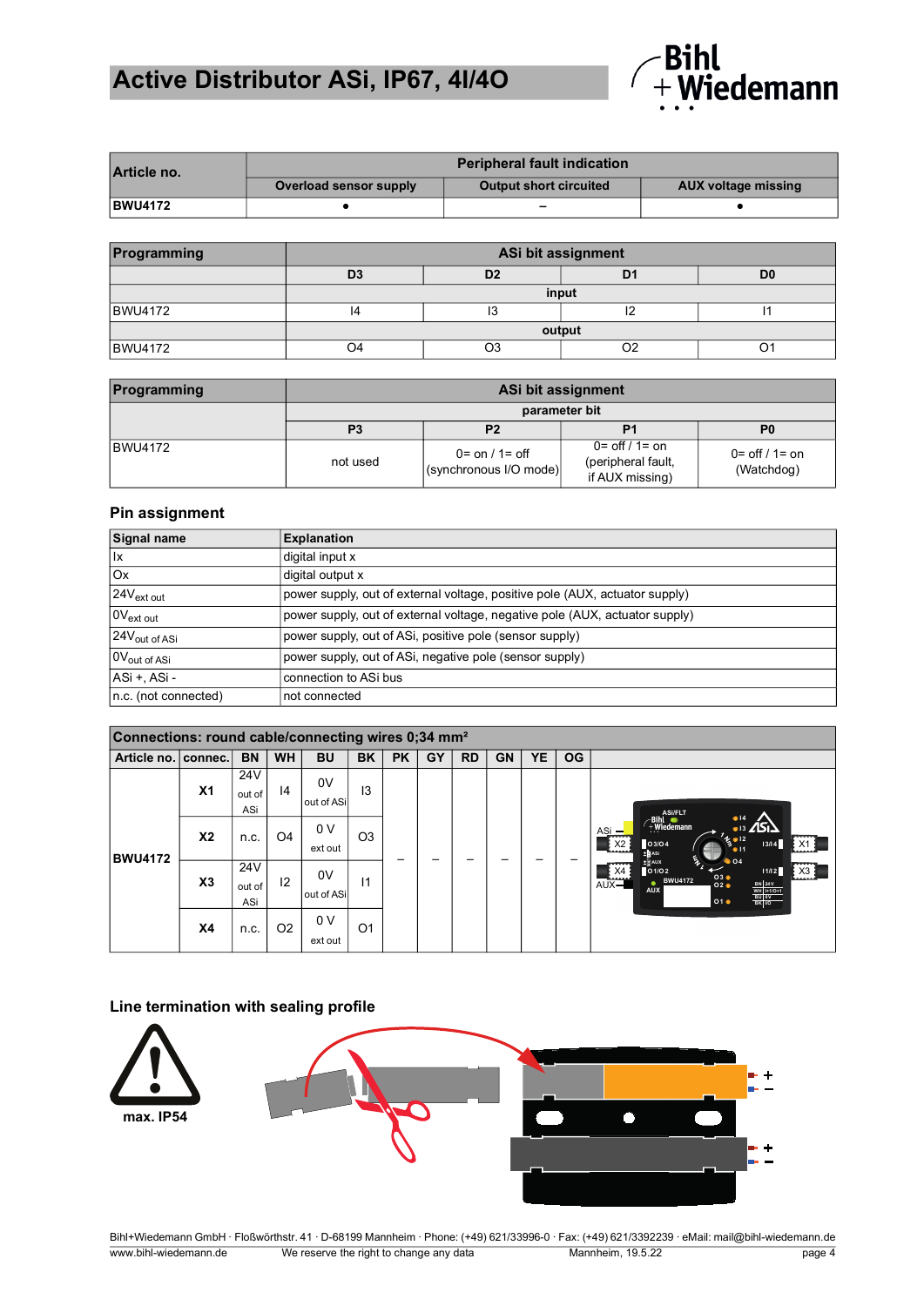# **Active Distributor ASi, IP67, 4I/4O**



| Article no.    | <b>Peripheral fault indication</b> |                               |                     |  |  |  |  |  |
|----------------|------------------------------------|-------------------------------|---------------------|--|--|--|--|--|
|                | Overload sensor supply             | <b>Output short circuited</b> | AUX voltage missing |  |  |  |  |  |
| <b>BWU4172</b> |                                    | -                             |                     |  |  |  |  |  |

| Programming    | ASi bit assignment |    |            |  |  |  |  |  |
|----------------|--------------------|----|------------|--|--|--|--|--|
|                | D <sub>3</sub>     | D0 |            |  |  |  |  |  |
|                | input              |    |            |  |  |  |  |  |
| <b>BWU4172</b> |                    | טו | . <u>.</u> |  |  |  |  |  |
| output         |                    |    |            |  |  |  |  |  |
| <b>BWU4172</b> |                    |    |            |  |  |  |  |  |

| Programming    | ASi bit assignment |                                                            |                                                                          |                                               |  |  |  |  |  |
|----------------|--------------------|------------------------------------------------------------|--------------------------------------------------------------------------|-----------------------------------------------|--|--|--|--|--|
|                | parameter bit      |                                                            |                                                                          |                                               |  |  |  |  |  |
|                | P <sub>3</sub>     | P2                                                         | P1                                                                       | P <sub>0</sub>                                |  |  |  |  |  |
| <b>BWU4172</b> | not used           | $0 = \text{on} / 1 = \text{off}$<br>(synchronous I/O mode) | $0 = \frac{off}{1} = \text{on}$<br>(peripheral fault,<br>if AUX missing) | $0 = \frac{off}{1} = \text{on}$<br>(Watchdog) |  |  |  |  |  |

#### **Pin assignment**

| <b>Signal name</b>        | <b>Explanation</b>                                                          |
|---------------------------|-----------------------------------------------------------------------------|
| $\mathsf{I}\mathsf{x}$    | digital input x                                                             |
| Ox                        | digital output x                                                            |
| 24V <sub>ext out</sub>    | power supply, out of external voltage, positive pole (AUX, actuator supply) |
| 0V <sub>ext out</sub>     | power supply, out of external voltage, negative pole (AUX, actuator supply) |
| 24V <sub>out of ASi</sub> | power supply, out of ASi, positive pole (sensor supply)                     |
| 0V <sub>out of ASi</sub>  | power supply, out of ASi, negative pole (sensor supply)                     |
| ASi +, ASi -              | connection to ASi bus                                                       |
| n.c. (not connected)      | not connected                                                               |

| Connections: round cable/connecting wires 0;34 mm <sup>2</sup> |                |                                  |                |                  |                |           |    |           |           |    |           |                                                                                                                                                                                                                                                                                                                                                                                                                                                                     |
|----------------------------------------------------------------|----------------|----------------------------------|----------------|------------------|----------------|-----------|----|-----------|-----------|----|-----------|---------------------------------------------------------------------------------------------------------------------------------------------------------------------------------------------------------------------------------------------------------------------------------------------------------------------------------------------------------------------------------------------------------------------------------------------------------------------|
| Article no. connec.                                            |                | BN                               | <b>WH</b>      | BU               | BK             | <b>PK</b> | GY | <b>RD</b> | <b>GN</b> | YΕ | <b>OG</b> |                                                                                                                                                                                                                                                                                                                                                                                                                                                                     |
| <b>BWU4172</b>                                                 | X <sub>1</sub> | 24 <sub>V</sub><br>out of<br>ASi | 4              | 0V<br>out of ASi | 13             |           |    |           |           |    |           | ASi/FLT<br>Finl<br>Fwiedemann<br>•14<br>$\frac{14}{13}$ $\angle$ $\angle$<br>$ASi -$<br>$\begin{array}{c}\n\mathcal{L}_{\mathbf{S}}\bullet\mathbf{12} \\ \bullet\mathbf{11}\n\end{array}$<br>03/04<br>13/14<br>X <sub>2</sub><br>X1<br>± <mark>a</mark> ASi<br>$\epsilon$<br>$\bullet$ O4<br>±@aux<br>X3<br>X4<br>01/02<br>11/12<br>03 <sub>0</sub><br><b>BWU4172</b><br>$AUX -$<br>BN 24V<br>WH 1+1/0+1<br>BU 0V<br>BK 1/0<br>02 <sub>0</sub><br><b>AUX</b><br>010 |
|                                                                | X <sub>2</sub> | n.c.                             | O <sub>4</sub> | 0 V<br>ext out   | O <sub>3</sub> |           |    |           |           |    |           |                                                                                                                                                                                                                                                                                                                                                                                                                                                                     |
|                                                                | $x_3$          | 24 <sub>V</sub><br>out of<br>ASi | 12             | 0V<br>out of ASi | $\mathsf{I}$   |           |    |           |           |    |           |                                                                                                                                                                                                                                                                                                                                                                                                                                                                     |
|                                                                | <b>X4</b>      | n.c.                             | O <sub>2</sub> | 0 V<br>ext out   | O <sub>1</sub> |           |    |           |           |    |           |                                                                                                                                                                                                                                                                                                                                                                                                                                                                     |

### **Line termination with sealing profile**